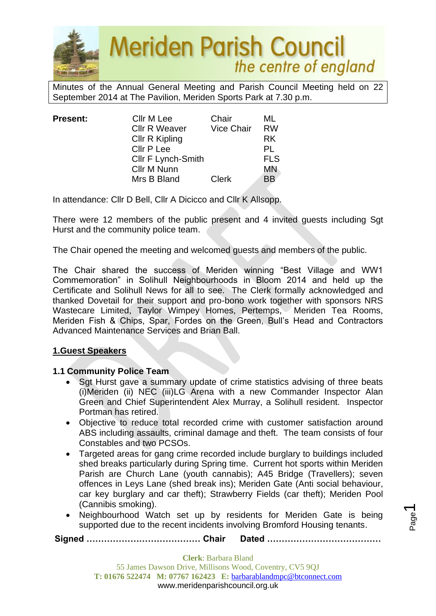

Minutes of the Annual General Meeting and Parish Council Meeting held on 22 September 2014 at The Pavilion, Meriden Sports Park at 7.30 p.m.

| <b>Present:</b> | Cllr M Lee           | Chair        | ML         |
|-----------------|----------------------|--------------|------------|
|                 | <b>Cllr R Weaver</b> | Vice Chair   | <b>RW</b>  |
|                 | Cllr R Kipling       |              | RK.        |
|                 | Cllr P Lee           |              | PL         |
|                 | Cllr F Lynch-Smith   |              | <b>FLS</b> |
|                 | Cllr M Nunn          |              | <b>MN</b>  |
|                 | Mrs B Bland          | <b>Clerk</b> | ΒB         |

In attendance: Cllr D Bell, Cllr A Dicicco and Cllr K Allsopp.

There were 12 members of the public present and 4 invited guests including Sgt Hurst and the community police team.

The Chair opened the meeting and welcomed guests and members of the public.

The Chair shared the success of Meriden winning "Best Village and WW1 Commemoration" in Solihull Neighbourhoods in Bloom 2014 and held up the Certificate and Solihull News for all to see. The Clerk formally acknowledged and thanked Dovetail for their support and pro-bono work together with sponsors NRS Wastecare Limited, Taylor Wimpey Homes, Pertemps, Meriden Tea Rooms, Meriden Fish & Chips, Spar, Fordes on the Green, Bull's Head and Contractors Advanced Maintenance Services and Brian Ball.

#### **1.Guest Speakers**

#### **1.1 Community Police Team**

- Sgt Hurst gave a summary update of crime statistics advising of three beats (i)Meriden (ii) NEC (iii)LG Arena with a new Commander Inspector Alan Green and Chief Superintendent Alex Murray, a Solihull resident. Inspector Portman has retired.
- Objective to reduce total recorded crime with customer satisfaction around ABS including assaults, criminal damage and theft. The team consists of four Constables and two PCSOs.
- Targeted areas for gang crime recorded include burglary to buildings included shed breaks particularly during Spring time. Current hot sports within Meriden Parish are Church Lane (youth cannabis); A45 Bridge (Travellers); seven offences in Leys Lane (shed break ins); Meriden Gate (Anti social behaviour, car key burglary and car theft); Strawberry Fields (car theft); Meriden Pool (Cannibis smoking).
- Neighbourhood Watch set up by residents for Meriden Gate is being supported due to the recent incidents involving Bromford Housing tenants.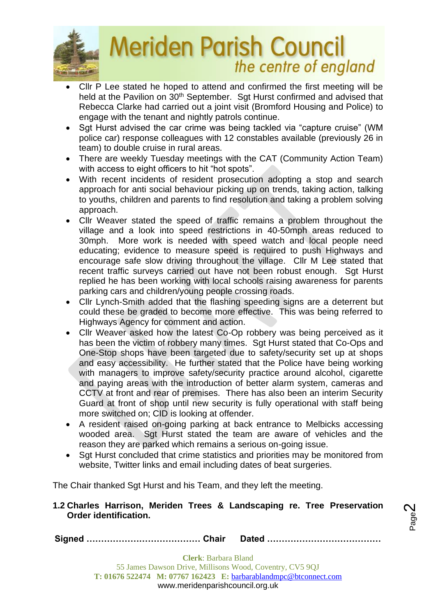

- Cllr P Lee stated he hoped to attend and confirmed the first meeting will be held at the Pavilion on 30<sup>th</sup> September. Sgt Hurst confirmed and advised that Rebecca Clarke had carried out a joint visit (Bromford Housing and Police) to engage with the tenant and nightly patrols continue.
- Sgt Hurst advised the car crime was being tackled via "capture cruise" (WM police car) response colleagues with 12 constables available (previously 26 in team) to double cruise in rural areas.
- There are weekly Tuesday meetings with the CAT (Community Action Team) with access to eight officers to hit "hot spots".
- With recent incidents of resident prosecution adopting a stop and search approach for anti social behaviour picking up on trends, taking action, talking to youths, children and parents to find resolution and taking a problem solving approach.
- Cllr Weaver stated the speed of traffic remains a problem throughout the village and a look into speed restrictions in 40-50mph areas reduced to 30mph. More work is needed with speed watch and local people need educating; evidence to measure speed is required to push Highways and encourage safe slow driving throughout the village. Cllr M Lee stated that recent traffic surveys carried out have not been robust enough. Sgt Hurst replied he has been working with local schools raising awareness for parents parking cars and children/young people crossing roads.
- Cllr Lynch-Smith added that the flashing speeding signs are a deterrent but could these be graded to become more effective. This was being referred to Highways Agency for comment and action.
- Cllr Weaver asked how the latest Co-Op robbery was being perceived as it has been the victim of robbery many times. Sat Hurst stated that Co-Ops and One-Stop shops have been targeted due to safety/security set up at shops and easy accessibility. He further stated that the Police have being working with managers to improve safety/security practice around alcohol, cigarette and paying areas with the introduction of better alarm system, cameras and CCTV at front and rear of premises. There has also been an interim Security Guard at front of shop until new security is fully operational with staff being more switched on; CID is looking at offender.
- A resident raised on-going parking at back entrance to Melbicks accessing wooded area. Sgt Hurst stated the team are aware of vehicles and the reason they are parked which remains a serious on-going issue.
- Sgt Hurst concluded that crime statistics and priorities may be monitored from website, Twitter links and email including dates of beat surgeries.

The Chair thanked Sgt Hurst and his Team, and they left the meeting.

#### **1.2 Charles Harrison, Meriden Trees & Landscaping re. Tree Preservation Order identification.**

Page  $\boldsymbol{\sim}$ 

**Signed ………………………………… Chair Dated …………………………………**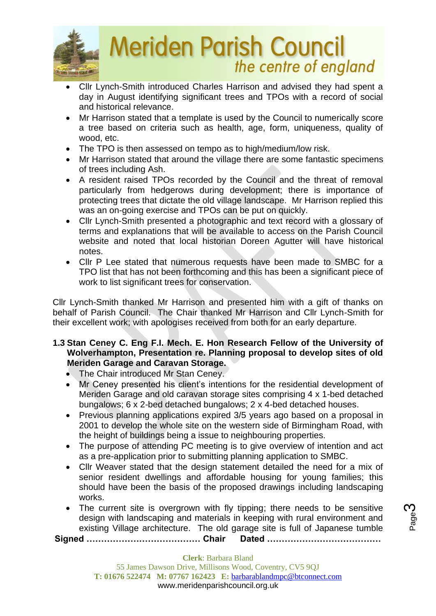

- Cllr Lynch-Smith introduced Charles Harrison and advised they had spent a day in August identifying significant trees and TPOs with a record of social and historical relevance.
- Mr Harrison stated that a template is used by the Council to numerically score a tree based on criteria such as health, age, form, uniqueness, quality of wood, etc.
- The TPO is then assessed on tempo as to high/medium/low risk.
- Mr Harrison stated that around the village there are some fantastic specimens of trees including Ash.
- A resident raised TPOs recorded by the Council and the threat of removal particularly from hedgerows during development; there is importance of protecting trees that dictate the old village landscape. Mr Harrison replied this was an on-going exercise and TPOs can be put on quickly.
- Cllr Lynch-Smith presented a photographic and text record with a glossary of terms and explanations that will be available to access on the Parish Council website and noted that local historian Doreen Agutter will have historical notes.
- Cllr P Lee stated that numerous requests have been made to SMBC for a TPO list that has not been forthcoming and this has been a significant piece of work to list significant trees for conservation.

Cllr Lynch-Smith thanked Mr Harrison and presented him with a gift of thanks on behalf of Parish Council. The Chair thanked Mr Harrison and Cllr Lynch-Smith for their excellent work; with apologises received from both for an early departure.

#### **1.3 Stan Ceney C. Eng F.I. Mech. E. Hon Research Fellow of the University of Wolverhampton, Presentation re. Planning proposal to develop sites of old Meriden Garage and Caravan Storage.**

- The Chair introduced Mr Stan Ceney.
- Mr Ceney presented his client's intentions for the residential development of Meriden Garage and old caravan storage sites comprising 4 x 1-bed detached bungalows; 6 x 2-bed detached bungalows; 2 x 4-bed detached houses.
- Previous planning applications expired 3/5 years ago based on a proposal in 2001 to develop the whole site on the western side of Birmingham Road, with the height of buildings being a issue to neighbouring properties.
- The purpose of attending PC meeting is to give overview of intention and act as a pre-application prior to submitting planning application to SMBC.
- Cllr Weaver stated that the design statement detailed the need for a mix of senior resident dwellings and affordable housing for young families; this should have been the basis of the proposed drawings including landscaping works.
- The current site is overgrown with fly tipping; there needs to be sensitive design with landscaping and materials in keeping with rural environment and existing Village architecture. The old garage site is full of Japanese tumble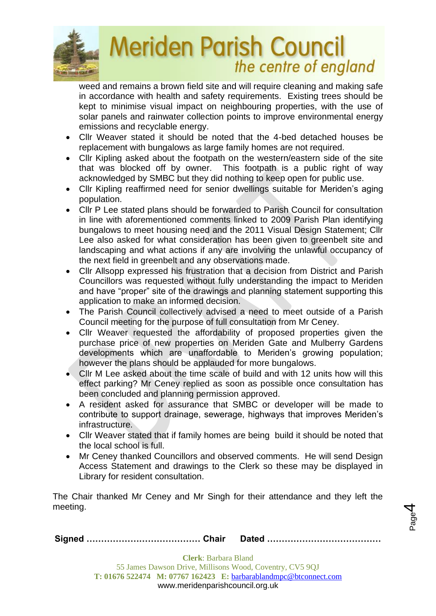

weed and remains a brown field site and will require cleaning and making safe in accordance with health and safety requirements. Existing trees should be kept to minimise visual impact on neighbouring properties, with the use of solar panels and rainwater collection points to improve environmental energy emissions and recyclable energy.

- Cllr Weaver stated it should be noted that the 4-bed detached houses be replacement with bungalows as large family homes are not required.
- Cllr Kipling asked about the footpath on the western/eastern side of the site that was blocked off by owner. This footpath is a public right of way acknowledged by SMBC but they did nothing to keep open for public use.
- Cllr Kipling reaffirmed need for senior dwellings suitable for Meriden's aging population.
- Cllr P Lee stated plans should be forwarded to Parish Council for consultation in line with aforementioned comments linked to 2009 Parish Plan identifying bungalows to meet housing need and the 2011 Visual Design Statement; Cllr Lee also asked for what consideration has been given to greenbelt site and landscaping and what actions if any are involving the unlawful occupancy of the next field in greenbelt and any observations made.
- Cllr Allsopp expressed his frustration that a decision from District and Parish Councillors was requested without fully understanding the impact to Meriden and have "proper" site of the drawings and planning statement supporting this application to make an informed decision.
- The Parish Council collectively advised a need to meet outside of a Parish Council meeting for the purpose of full consultation from Mr Ceney.
- Cllr Weaver requested the affordability of proposed properties given the purchase price of new properties on Meriden Gate and Mulberry Gardens developments which are unaffordable to Meriden's growing population; however the plans should be applauded for more bungalows.
- Cllr M Lee asked about the time scale of build and with 12 units how will this effect parking? Mr Ceney replied as soon as possible once consultation has been concluded and planning permission approved.
- A resident asked for assurance that SMBC or developer will be made to contribute to support drainage, sewerage, highways that improves Meriden's infrastructure.
- Cllr Weaver stated that if family homes are being build it should be noted that the local school is full.
- Mr Ceney thanked Councillors and observed comments. He will send Design Access Statement and drawings to the Clerk so these may be displayed in Library for resident consultation.

The Chair thanked Mr Ceney and Mr Singh for their attendance and they left the meeting.

Page 4

|--|--|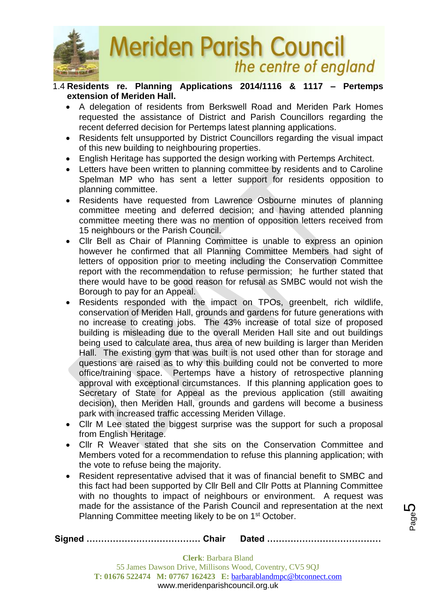

#### 1.4 **Residents re. Planning Applications 2014/1116 & 1117 – Pertemps extension of Meriden Hall.**

- A delegation of residents from Berkswell Road and Meriden Park Homes requested the assistance of District and Parish Councillors regarding the recent deferred decision for Pertemps latest planning applications.
- Residents felt unsupported by District Councillors regarding the visual impact of this new building to neighbouring properties.
- English Heritage has supported the design working with Pertemps Architect.
- Letters have been written to planning committee by residents and to Caroline Spelman MP who has sent a letter support for residents opposition to planning committee.
- Residents have requested from Lawrence Osbourne minutes of planning committee meeting and deferred decision; and having attended planning committee meeting there was no mention of opposition letters received from 15 neighbours or the Parish Council.
- Cllr Bell as Chair of Planning Committee is unable to express an opinion however he confirmed that all Planning Committee Members had sight of letters of opposition prior to meeting including the Conservation Committee report with the recommendation to refuse permission; he further stated that there would have to be good reason for refusal as SMBC would not wish the Borough to pay for an Appeal.
- Residents responded with the impact on TPOs, greenbelt, rich wildlife, conservation of Meriden Hall, grounds and gardens for future generations with no increase to creating jobs. The 43% increase of total size of proposed building is misleading due to the overall Meriden Hall site and out buildings being used to calculate area, thus area of new building is larger than Meriden Hall. The existing gym that was built is not used other than for storage and questions are raised as to why this building could not be converted to more office/training space. Pertemps have a history of retrospective planning approval with exceptional circumstances. If this planning application goes to Secretary of State for Appeal as the previous application (still awaiting decision), then Meriden Hall, grounds and gardens will become a business park with increased traffic accessing Meriden Village.
- Cllr M Lee stated the biggest surprise was the support for such a proposal from English Heritage.
- Cllr R Weaver stated that she sits on the Conservation Committee and Members voted for a recommendation to refuse this planning application; with the vote to refuse being the majority.
- Resident representative advised that it was of financial benefit to SMBC and this fact had been supported by Cllr Bell and Cllr Potts at Planning Committee with no thoughts to impact of neighbours or environment. A request was made for the assistance of the Parish Council and representation at the next Planning Committee meeting likely to be on 1<sup>st</sup> October.

**Clerk**: Barbara Bland 55 James Dawson Drive, Millisons Wood, Coventry, CV5 9QJ **T: 01676 522474 M: 07767 162423 E:** [barbarablandmpc@btconnect.com](mailto:barbarablandmpc@btconnect.com) www.meridenparishcouncil.org.uk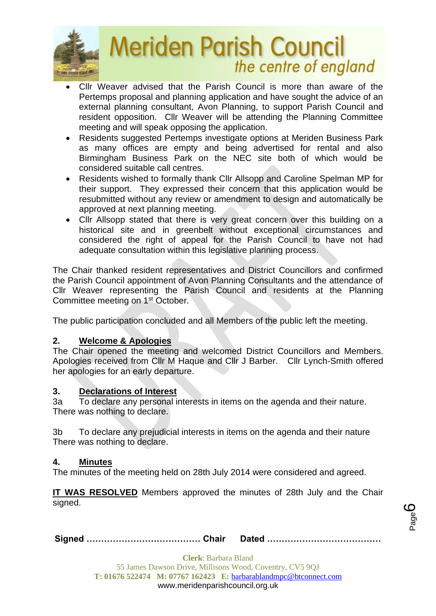

- Cllr Weaver advised that the Parish Council is more than aware of the Pertemps proposal and planning application and have sought the advice of an external planning consultant, Avon Planning, to support Parish Council and resident opposition. Cllr Weaver will be attending the Planning Committee meeting and will speak opposing the application.
- Residents suggested Pertemps investigate options at Meriden Business Park as many offices are empty and being advertised for rental and also Birmingham Business Park on the NEC site both of which would be considered suitable call centres.
- Residents wished to formally thank Cllr Allsopp and Caroline Spelman MP for their support. They expressed their concern that this application would be resubmitted without any review or amendment to design and automatically be approved at next planning meeting.
- Cllr Allsopp stated that there is very great concern over this building on a historical site and in greenbelt without exceptional circumstances and considered the right of appeal for the Parish Council to have not had adequate consultation within this legislative planning process.

The Chair thanked resident representatives and District Councillors and confirmed the Parish Council appointment of Avon Planning Consultants and the attendance of Cllr Weaver representing the Parish Council and residents at the Planning Committee meeting on 1<sup>st</sup> October.

The public participation concluded and all Members of the public left the meeting.

## **2. Welcome & Apologies**

The Chair opened the meeting and welcomed District Councillors and Members. Apologies received from Cllr M Haque and Cllr J Barber. Cllr Lynch-Smith offered her apologies for an early departure.

#### **3. Declarations of Interest**

3a To declare any personal interests in items on the agenda and their nature. There was nothing to declare.

3b To declare any prejudicial interests in items on the agenda and their nature There was nothing to declare.

#### **4. Minutes**

The minutes of the meeting held on 28th July 2014 were considered and agreed.

**IT WAS RESOLVED** Members approved the minutes of 28th July and the Chair signed.

|--|--|--|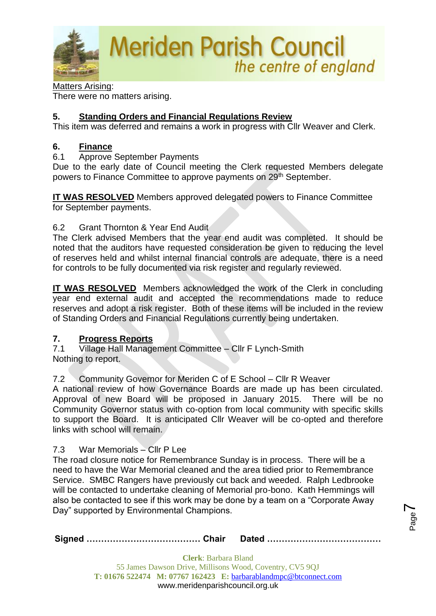

Matters Arising: There were no matters arising.

## **5. Standing Orders and Financial Regulations Review**

This item was deferred and remains a work in progress with Cllr Weaver and Clerk.

#### **6. Finance**

6.1 Approve September Payments

Due to the early date of Council meeting the Clerk requested Members delegate powers to Finance Committee to approve payments on 29<sup>th</sup> September.

**IT WAS RESOLVED** Members approved delegated powers to Finance Committee for September payments.

#### 6.2 Grant Thornton & Year End Audit

The Clerk advised Members that the year end audit was completed. It should be noted that the auditors have requested consideration be given to reducing the level of reserves held and whilst internal financial controls are adequate, there is a need for controls to be fully documented via risk register and regularly reviewed.

**IT WAS RESOLVED** Members acknowledged the work of the Clerk in concluding year end external audit and accepted the recommendations made to reduce reserves and adopt a risk register. Both of these items will be included in the review of Standing Orders and Financial Regulations currently being undertaken.

## **7. Progress Reports**

7.1 Village Hall Management Committee – Cllr F Lynch-Smith Nothing to report.

## 7.2 Community Governor for Meriden C of E School – Cllr R Weaver

A national review of how Governance Boards are made up has been circulated. Approval of new Board will be proposed in January 2015. There will be no Community Governor status with co-option from local community with specific skills to support the Board. It is anticipated Cllr Weaver will be co-opted and therefore links with school will remain.

#### 7.3 War Memorials – Cllr P Lee

The road closure notice for Remembrance Sunday is in process. There will be a need to have the War Memorial cleaned and the area tidied prior to Remembrance Service. SMBC Rangers have previously cut back and weeded. Ralph Ledbrooke will be contacted to undertake cleaning of Memorial pro-bono. Kath Hemmings will also be contacted to see if this work may be done by a team on a "Corporate Away Day" supported by Environmental Champions.

**Signed ………………………………… Chair Dated …………………………………**

Page  $\blacktriangleright$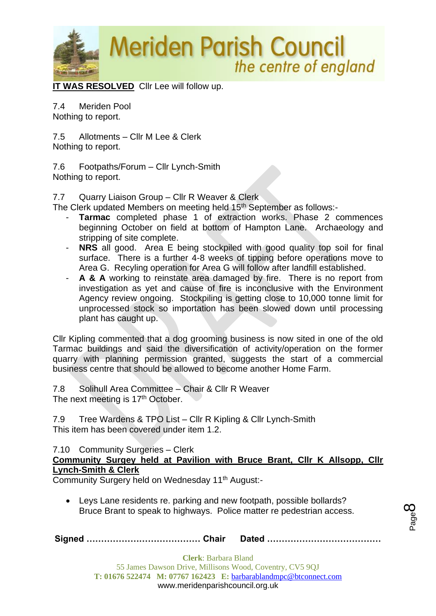

**IT WAS RESOLVED** Cllr Lee will follow up.

7.4 Meriden Pool Nothing to report.

7.5 Allotments – Cllr M Lee & Clerk Nothing to report.

7.6 Footpaths/Forum – Cllr Lynch-Smith Nothing to report.

7.7 Quarry Liaison Group – Cllr R Weaver & Clerk

The Clerk updated Members on meeting held 15<sup>th</sup> September as follows:-

- **Tarmac** completed phase 1 of extraction works. Phase 2 commences beginning October on field at bottom of Hampton Lane. Archaeology and stripping of site complete.
- **NRS** all good. Area E being stockpiled with good quality top soil for final surface. There is a further 4-8 weeks of tipping before operations move to Area G. Recyling operation for Area G will follow after landfill established.
- A & A working to reinstate area damaged by fire. There is no report from investigation as yet and cause of fire is inconclusive with the Environment Agency review ongoing. Stockpiling is getting close to 10,000 tonne limit for unprocessed stock so importation has been slowed down until processing plant has caught up.

Cllr Kipling commented that a dog grooming business is now sited in one of the old Tarmac buildings and said the diversification of activity/operation on the former quarry with planning permission granted, suggests the start of a commercial business centre that should be allowed to become another Home Farm.

7.8 Solihull Area Committee – Chair & Cllr R Weaver The next meeting is 17<sup>th</sup> October.

7.9 Tree Wardens & TPO List – Cllr R Kipling & Cllr Lynch-Smith This item has been covered under item 1.2.

7.10 Community Surgeries – Clerk

**Community Surgey held at Pavilion with Bruce Brant, Cllr K Allsopp, Cllr Lynch-Smith & Clerk**

Community Surgery held on Wednesday 11<sup>th</sup> August:-

• Leys Lane residents re. parking and new footpath, possible bollards? Bruce Brant to speak to highways. Police matter re pedestrian access.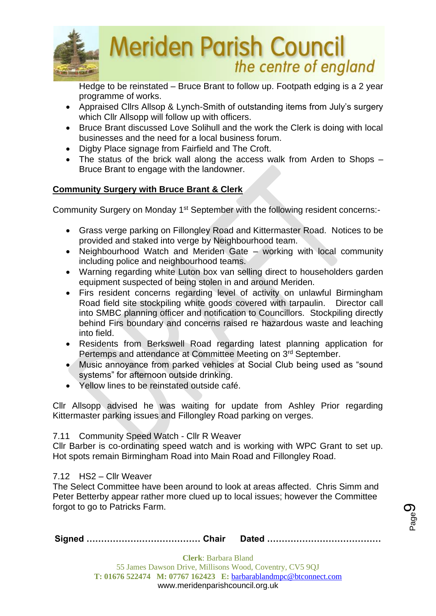

Hedge to be reinstated – Bruce Brant to follow up. Footpath edging is a 2 year programme of works.

- Appraised Cllrs Allsop & Lynch-Smith of outstanding items from July's surgery which Cllr Allsopp will follow up with officers.
- Bruce Brant discussed Love Solihull and the work the Clerk is doing with local businesses and the need for a local business forum.
- Digby Place signage from Fairfield and The Croft.
- The status of the brick wall along the access walk from Arden to Shops Bruce Brant to engage with the landowner.

## **Community Surgery with Bruce Brant & Clerk**

Community Surgery on Monday 1<sup>st</sup> September with the following resident concerns:-

- Grass verge parking on Fillongley Road and Kittermaster Road. Notices to be provided and staked into verge by Neighbourhood team.
- Neighbourhood Watch and Meriden Gate working with local community including police and neighbourhood teams.
- Warning regarding white Luton box van selling direct to householders garden equipment suspected of being stolen in and around Meriden.
- Firs resident concerns regarding level of activity on unlawful Birmingham Road field site stockpiling white goods covered with tarpaulin. Director call into SMBC planning officer and notification to Councillors. Stockpiling directly behind Firs boundary and concerns raised re hazardous waste and leaching into field.
- Residents from Berkswell Road regarding latest planning application for Pertemps and attendance at Committee Meeting on 3<sup>rd</sup> September.
- Music annoyance from parked vehicles at Social Club being used as "sound systems" for afternoon outside drinking.
- Yellow lines to be reinstated outside café.

Cllr Allsopp advised he was waiting for update from Ashley Prior regarding Kittermaster parking issues and Fillongley Road parking on verges.

#### 7.11 Community Speed Watch - Cllr R Weaver

Cllr Barber is co-ordinating speed watch and is working with WPC Grant to set up. Hot spots remain Birmingham Road into Main Road and Fillongley Road.

#### 7.12 HS2 – Cllr Weaver

The Select Committee have been around to look at areas affected. Chris Simm and Peter Betterby appear rather more clued up to local issues; however the Committee forgot to go to Patricks Farm.

|--|--|

Page රා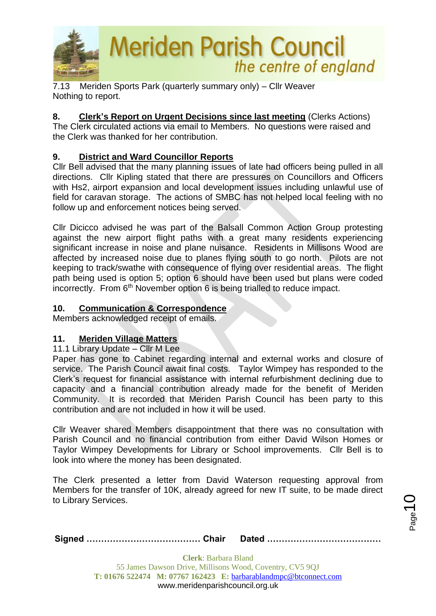

7.13Meriden Sports Park (quarterly summary only) – Cllr Weaver Nothing to report.

**8. Clerk's Report on Urgent Decisions since last meeting** (Clerks Actions) The Clerk circulated actions via email to Members. No questions were raised and the Clerk was thanked for her contribution.

## **9. District and Ward Councillor Reports**

Cllr Bell advised that the many planning issues of late had officers being pulled in all directions. Cllr Kipling stated that there are pressures on Councillors and Officers with Hs2, airport expansion and local development issues including unlawful use of field for caravan storage. The actions of SMBC has not helped local feeling with no follow up and enforcement notices being served.

Cllr Dicicco advised he was part of the Balsall Common Action Group protesting against the new airport flight paths with a great many residents experiencing significant increase in noise and plane nuisance. Residents in Millisons Wood are affected by increased noise due to planes flying south to go north. Pilots are not keeping to track/swathe with consequence of flying over residential areas. The flight path being used is option 5; option 6 should have been used but plans were coded incorrectly. From 6<sup>th</sup> November option 6 is being trialled to reduce impact.

### **10. Communication & Correspondence**

Members acknowledged receipt of emails.

#### **11. Meriden Village Matters**

11.1 Library Update – Cllr M Lee

Paper has gone to Cabinet regarding internal and external works and closure of service. The Parish Council await final costs. Taylor Wimpey has responded to the Clerk's request for financial assistance with internal refurbishment declining due to capacity and a financial contribution already made for the benefit of Meriden Community. It is recorded that Meriden Parish Council has been party to this contribution and are not included in how it will be used.

Cllr Weaver shared Members disappointment that there was no consultation with Parish Council and no financial contribution from either David Wilson Homes or Taylor Wimpey Developments for Library or School improvements. Cllr Bell is to look into where the money has been designated.

The Clerk presented a letter from David Waterson requesting approval from Members for the transfer of 10K, already agreed for new IT suite, to be made direct to Library Services.

 $_{\mathrm{Page}}$ 10

|--|--|--|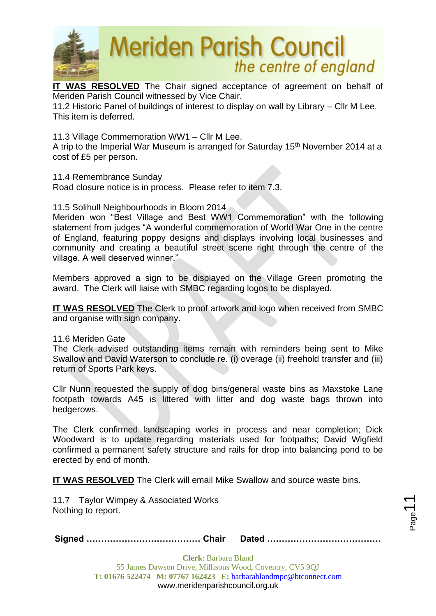

**IT WAS RESOLVED** The Chair signed acceptance of agreement on behalf of Meriden Parish Council witnessed by Vice Chair.

11.2 Historic Panel of buildings of interest to display on wall by Library – Cllr M Lee. This item is deferred.

11.3 Village Commemoration WW1 – Cllr M Lee.

A trip to the Imperial War Museum is arranged for Saturday 15<sup>th</sup> November 2014 at a cost of £5 per person.

#### 11.4 Remembrance Sunday

Road closure notice is in process. Please refer to item 7.3.

11.5 Solihull Neighbourhoods in Bloom 2014

Meriden won "Best Village and Best WW1 Commemoration" with the following statement from judges "A wonderful commemoration of World War One in the centre of England, featuring poppy designs and displays involving local businesses and community and creating a beautiful street scene right through the centre of the village. A well deserved winner."

Members approved a sign to be displayed on the Village Green promoting the award. The Clerk will liaise with SMBC regarding logos to be displayed.

**IT WAS RESOLVED** The Clerk to proof artwork and logo when received from SMBC and organise with sign company.

11.6 Meriden Gate

The Clerk advised outstanding items remain with reminders being sent to Mike Swallow and David Waterson to conclude re. (i) overage (ii) freehold transfer and (iii) return of Sports Park keys.

Cllr Nunn requested the supply of dog bins/general waste bins as Maxstoke Lane footpath towards A45 is littered with litter and dog waste bags thrown into hedgerows.

The Clerk confirmed landscaping works in process and near completion; Dick Woodward is to update regarding materials used for footpaths; David Wigfield confirmed a permanent safety structure and rails for drop into balancing pond to be erected by end of month.

**IT WAS RESOLVED** The Clerk will email Mike Swallow and source waste bins.

11.7 Taylor Wimpey & Associated Works Nothing to report.

**Signed ………………………………… Chair Dated …………………………………**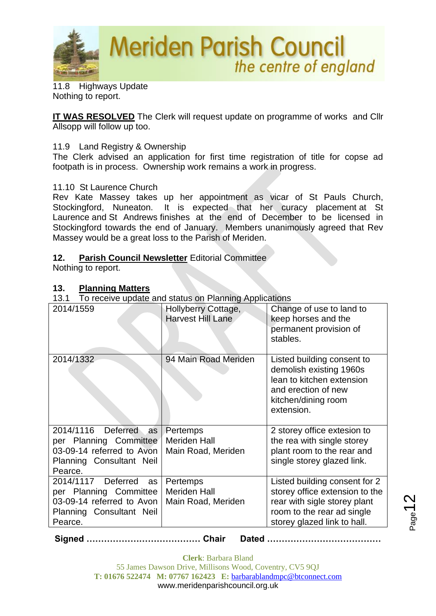

11.8 Highways Update Nothing to report.

**IT WAS RESOLVED** The Clerk will request update on programme of works and Cllr Allsopp will follow up too.

#### 11.9 Land Registry & Ownership

The Clerk advised an application for first time registration of title for copse ad footpath is in process. Ownership work remains a work in progress.

#### 11.10 St Laurence Church

Rev Kate Massey takes up her appointment as vicar of St Pauls Church, Stockingford, Nuneaton. It is expected that her curacy placement at St Laurence and St Andrews finishes at the end of December to be licensed in Stockingford towards the end of January. Members unanimously agreed that Rev Massey would be a great loss to the Parish of Meriden.

#### **12. Parish Council Newsletter** Editorial Committee

Nothing to report.

#### **13. Planning Matters**

13.1 To receive update and status on Planning Applications

| 2014/1559                                                                                                              | Hollyberry Cottage,<br><b>Harvest Hill Lane</b>       | Change of use to land to<br>keep horses and the<br>permanent provision of<br>stables.                                                                        |
|------------------------------------------------------------------------------------------------------------------------|-------------------------------------------------------|--------------------------------------------------------------------------------------------------------------------------------------------------------------|
| 2014/1332                                                                                                              | 94 Main Road Meriden                                  | Listed building consent to<br>demolish existing 1960s<br>lean to kitchen extension<br>and erection of new<br>kitchen/dining room<br>extension.               |
| 2014/1116 Deferred as<br>per Planning Committee<br>03-09-14 referred to Avon<br>Planning Consultant Neil<br>Pearce.    | Pertemps<br><b>Meriden Hall</b><br>Main Road, Meriden | 2 storey office extesion to<br>the rea with single storey<br>plant room to the rear and<br>single storey glazed link.                                        |
| 2014/1117 Deferred<br>as<br>per Planning Committee<br>03-09-14 referred to Avon<br>Planning Consultant Neil<br>Pearce. | Pertemps<br><b>Meriden Hall</b><br>Main Road, Meriden | Listed building consent for 2<br>storey office extension to the<br>rear with sigle storey plant<br>room to the rear ad single<br>storey glazed link to hall. |

**Signed ………………………………… Chair Dated …………………………………**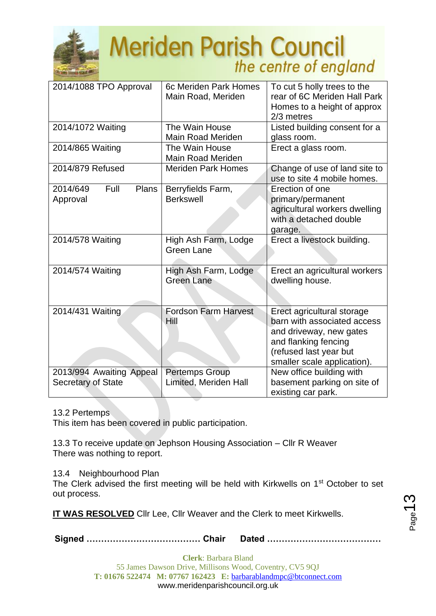

| 2014/1088 TPO Approval                                | 6c Meriden Park Homes<br>Main Road, Meriden    | To cut 5 holly trees to the<br>rear of 6C Meriden Hall Park<br>Homes to a height of approx<br>2/3 metres                                                              |
|-------------------------------------------------------|------------------------------------------------|-----------------------------------------------------------------------------------------------------------------------------------------------------------------------|
| 2014/1072 Waiting                                     | The Wain House<br><b>Main Road Meriden</b>     | Listed building consent for a<br>glass room.                                                                                                                          |
| 2014/865 Waiting                                      | The Wain House<br><b>Main Road Meriden</b>     | Erect a glass room.                                                                                                                                                   |
| 2014/879 Refused                                      | <b>Meriden Park Homes</b>                      | Change of use of land site to<br>use to site 4 mobile homes.                                                                                                          |
| Full<br>Plans<br>2014/649<br>Approval                 | Berryfields Farm,<br><b>Berkswell</b>          | Erection of one<br>primary/permanent<br>agricultural workers dwelling<br>with a detached double<br>garage.                                                            |
| 2014/578 Waiting                                      | High Ash Farm, Lodge<br><b>Green Lane</b>      | Erect a livestock building.                                                                                                                                           |
| 2014/574 Waiting                                      | High Ash Farm, Lodge<br><b>Green Lane</b>      | Erect an agricultural workers<br>dwelling house.                                                                                                                      |
| 2014/431 Waiting                                      | <b>Fordson Farm Harvest</b><br>Hill            | Erect agricultural storage<br>barn with associated access<br>and driveway, new gates<br>and flanking fencing<br>(refused last year but<br>smaller scale application). |
| 2013/994 Awaiting Appeal<br><b>Secretary of State</b> | <b>Pertemps Group</b><br>Limited, Meriden Hall | New office building with<br>basement parking on site of<br>existing car park.                                                                                         |

#### 13.2 Pertemps

This item has been covered in public participation.

13.3 To receive update on Jephson Housing Association – Cllr R Weaver There was nothing to report.

13.4 Neighbourhood Plan

The Clerk advised the first meeting will be held with Kirkwells on 1<sup>st</sup> October to set out process.

**IT WAS RESOLVED** Cllr Lee, Cllr Weaver and the Clerk to meet Kirkwells.

**Signed ………………………………… Chair Dated …………………………………**